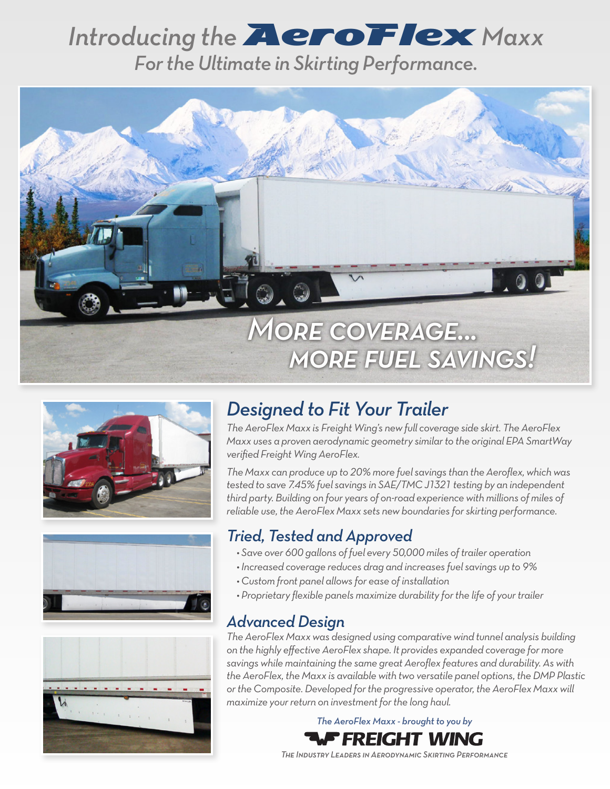# Introducing the **AeroFlex** Maxx *For the Ultimate in Skirting Performance.*









## *Designed to Fit Your Trailer*

*The AeroFlex Maxx is Freight Wing's new full coverage side skirt. The AeroFlex Maxx uses a proven aerodynamic geometry similar to the original EPA SmartWay verified Freight Wing AeroFlex.*

*The Maxx can produce up to 20% more fuel savings than the Aeroflex, which was tested to save 7.45% fuel savings in SAE/TMC J1321 testing by an independent third party. Building on four years of on-road experience with millions of miles of reliable use, the AeroFlex Maxx sets new boundaries for skirting performance.*

### *Tried, Tested and Approved*

- *Save over 600 gallons of fuel every 50,000 miles of trailer operation*
- *Increased coverage reduces drag and increases fuel savings up to 9%*
- *Custom front panel allows for ease of installation*
- *Proprietary flexible panels maximize durability for the life of your trailer*

#### *Advanced Design*

*The AeroFlex Maxx was designed using comparative wind tunnel analysis building on the highly effective AeroFlex shape. It provides expanded coverage for more savings while maintaining the same great Aeroflex features and durability. As with the AeroFlex, the Maxx is available with two versatile panel options, the DMP Plastic or the Composite. Developed for the progressive operator, the AeroFlex Maxx will maximize your return on investment for the long haul.*

> *The AeroFlex Maxx - brought to you by* 'FREIGHT WING

*The Industry Leaders in Aerodynamic Skirting Performance*